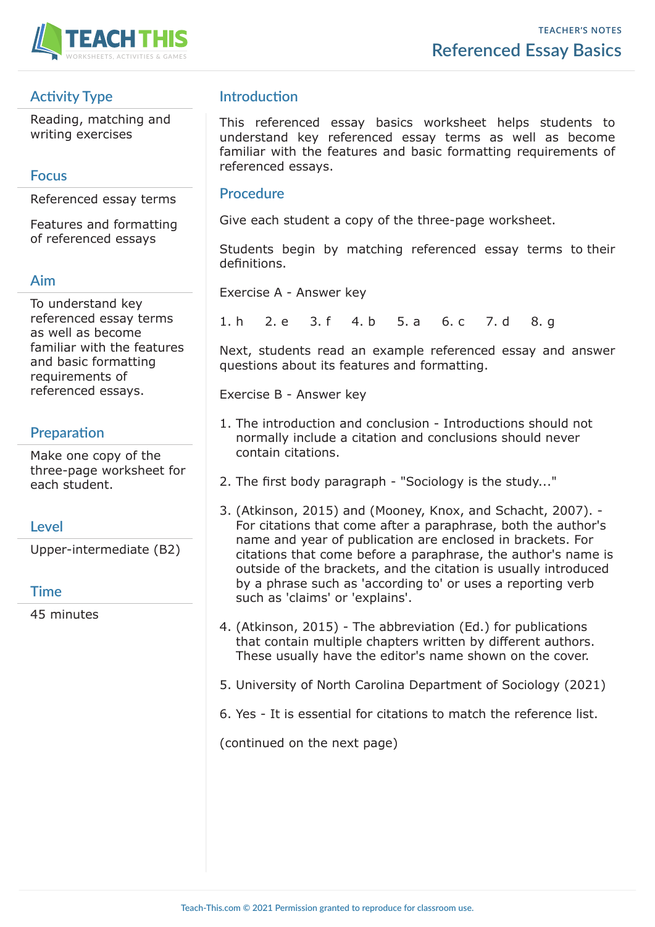

## **Activity Type**

Reading, matching and writing exercises

### **Focus**

Referenced essay terms

Features and formatting of referenced essays

### **Aim**

To understand key referenced essay terms as well as become familiar with the features and basic formatting requirements of referenced essays.

## **Preparation**

Make one copy of the three-page worksheet for each student.

## **Level**

Upper-intermediate (B2)

### **Time**

45 minutes

## **Introduction**

This referenced essay basics worksheet helps students to understand key referenced essay terms as well as become familiar with the features and basic formatting requirements of referenced essays.

### **Procedure**

Give each student a copy of the three-page worksheet.

Students begin by matching referenced essay terms to their definitions.

Exercise A - Answer key

1. h 2. e 3. f 4. b 5. a 6. c 7. d 8. g

Next, students read an example referenced essay and answer questions about its features and formatting.

Exercise B - Answer key

- 1. The introduction and conclusion Introductions should not normally include a citation and conclusions should never contain citations.
- 2. The first body paragraph "Sociology is the study..."
- 3. (Atkinson, 2015) and (Mooney, Knox, and Schacht, 2007). For citations that come after a paraphrase, both the author's name and year of publication are enclosed in brackets. For citations that come before a paraphrase, the author's name is outside of the brackets, and the citation is usually introduced by a phrase such as 'according to' or uses a reporting verb such as 'claims' or 'explains'.
- 4. (Atkinson, 2015) The abbreviation (Ed.) for publications that contain multiple chapters written by different authors. These usually have the editor's name shown on the cover.
- 5. University of North Carolina Department of Sociology (2021)
- 6. Yes It is essential for citations to match the reference list.

(continued on the next page)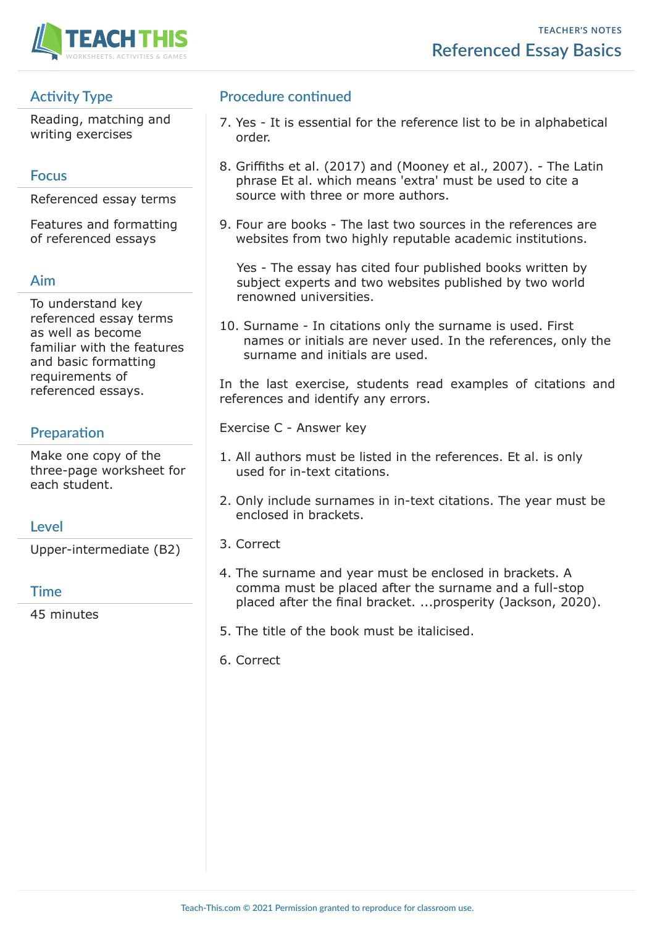

# **Activity Type**

Reading, matching and writing exercises

## **Focus**

Referenced essay terms

Features and formatting of referenced essays

# **Aim**

To understand key referenced essay terms as well as become familiar with the features and basic formatting requirements of referenced essays.

# **Preparation**

Make one copy of the three-page worksheet for each student.

# **Level**

Upper-intermediate (B2)

## **Time**

45 minutes

## **Procedure continued**

- 7. Yes It is essential for the reference list to be in alphabetical order.
- 8. Griffiths et al. (2017) and (Mooney et al., 2007). The Latin phrase Et al. which means 'extra' must be used to cite a source with three or more authors.
- 9. Four are books The last two sources in the references are websites from two highly reputable academic institutions.

 Yes - The essay has cited four published books written by subject experts and two websites published by two world renowned universities.

10. Surname - In citations only the surname is used. First names or initials are never used. In the references, only the surname and initials are used.

In the last exercise, students read examples of citations and references and identify any errors.

Exercise C - Answer key

- 1. All authors must be listed in the references. Et al. is only used for in-text citations.
- 2. Only include surnames in in-text citations. The year must be enclosed in brackets.
- 3. Correct
- 4. The surname and year must be enclosed in brackets. A comma must be placed after the surname and a full-stop placed after the final bracket. ...prosperity (Jackson, 2020).
- 5. The title of the book must be italicised.
- 6. Correct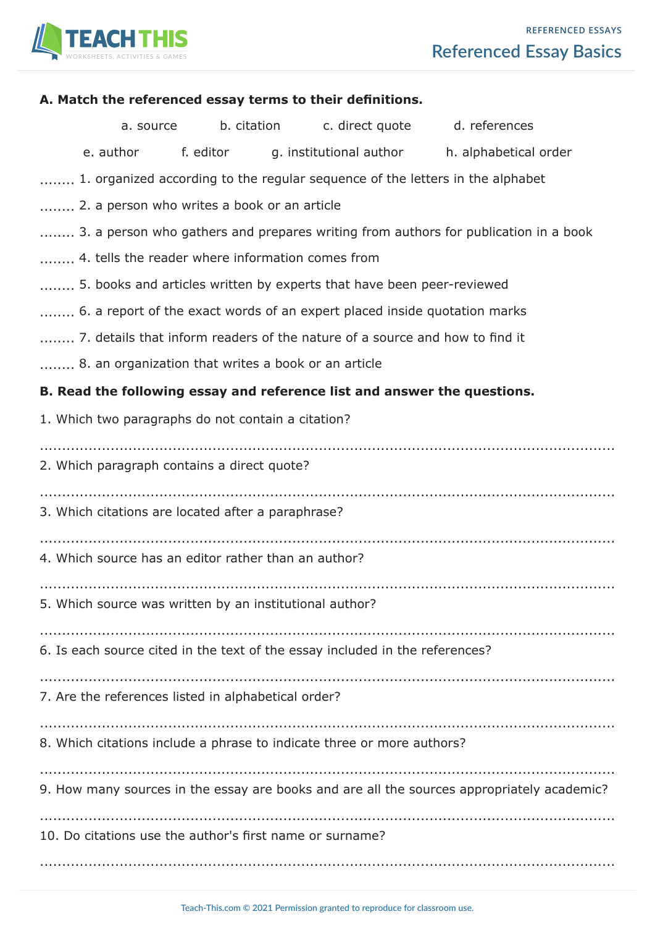

| A. Match the referenced essay terms to their definitions.                           |                                                    |  |  |                                                                        |                                                                                            |
|-------------------------------------------------------------------------------------|----------------------------------------------------|--|--|------------------------------------------------------------------------|--------------------------------------------------------------------------------------------|
|                                                                                     | a. source                                          |  |  |                                                                        | b. citation c. direct quote d. references                                                  |
|                                                                                     |                                                    |  |  |                                                                        | e. author f. editor g. institutional author h. alphabetical order                          |
| 1. organized according to the regular sequence of the letters in the alphabet       |                                                    |  |  |                                                                        |                                                                                            |
| 2. a person who writes a book or an article                                         |                                                    |  |  |                                                                        |                                                                                            |
| 3. a person who gathers and prepares writing from authors for publication in a book |                                                    |  |  |                                                                        |                                                                                            |
| 4. tells the reader where information comes from                                    |                                                    |  |  |                                                                        |                                                                                            |
| 5. books and articles written by experts that have been peer-reviewed               |                                                    |  |  |                                                                        |                                                                                            |
| 6. a report of the exact words of an expert placed inside quotation marks           |                                                    |  |  |                                                                        |                                                                                            |
| 7. details that inform readers of the nature of a source and how to find it         |                                                    |  |  |                                                                        |                                                                                            |
| 8. an organization that writes a book or an article                                 |                                                    |  |  |                                                                        |                                                                                            |
| B. Read the following essay and reference list and answer the questions.            |                                                    |  |  |                                                                        |                                                                                            |
|                                                                                     | 1. Which two paragraphs do not contain a citation? |  |  |                                                                        |                                                                                            |
| 2. Which paragraph contains a direct quote?                                         |                                                    |  |  |                                                                        |                                                                                            |
| 3. Which citations are located after a paraphrase?                                  |                                                    |  |  |                                                                        |                                                                                            |
| 4. Which source has an editor rather than an author?                                |                                                    |  |  |                                                                        |                                                                                            |
| 5. Which source was written by an institutional author?                             |                                                    |  |  |                                                                        |                                                                                            |
| 6. Is each source cited in the text of the essay included in the references?        |                                                    |  |  |                                                                        |                                                                                            |
| 7. Are the references listed in alphabetical order?                                 |                                                    |  |  |                                                                        |                                                                                            |
|                                                                                     |                                                    |  |  | 8. Which citations include a phrase to indicate three or more authors? |                                                                                            |
|                                                                                     |                                                    |  |  |                                                                        | 9. How many sources in the essay are books and are all the sources appropriately academic? |
| 10. Do citations use the author's first name or surname?                            |                                                    |  |  |                                                                        |                                                                                            |
|                                                                                     |                                                    |  |  |                                                                        |                                                                                            |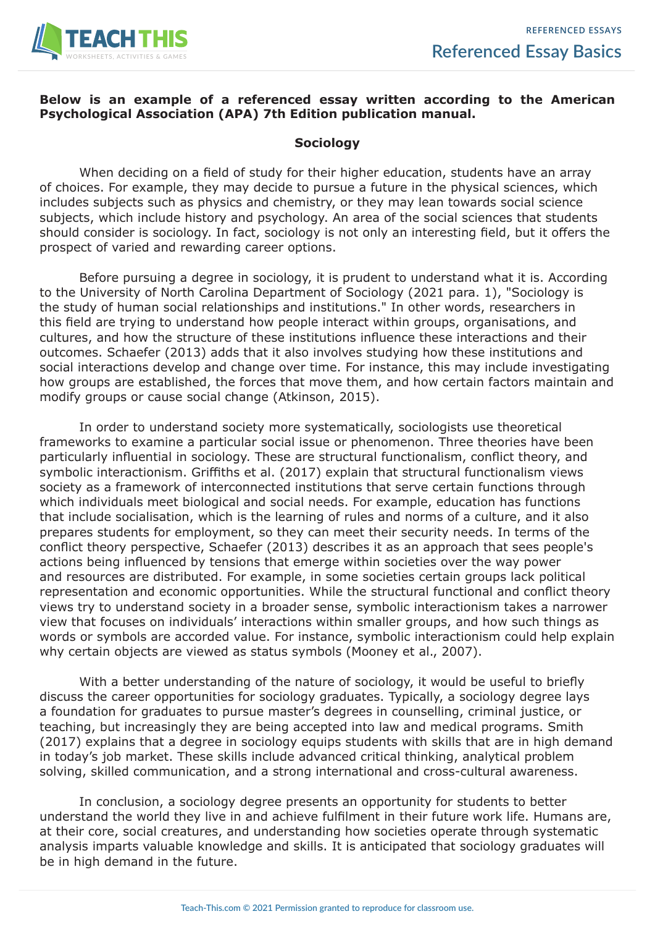

#### **Below is an example of a referenced essay written according to the American Psychological Association (APA) 7th Edition publication manual.**

#### **Sociology**

When deciding on a field of study for their higher education, students have an array of choices. For example, they may decide to pursue a future in the physical sciences, which includes subjects such as physics and chemistry, or they may lean towards social science subjects, which include history and psychology. An area of the social sciences that students should consider is sociology. In fact, sociology is not only an interesting field, but it offers the prospect of varied and rewarding career options.

Before pursuing a degree in sociology, it is prudent to understand what it is. According to the University of North Carolina Department of Sociology (2021 para. 1), "Sociology is the study of human social relationships and institutions." In other words, researchers in this field are trying to understand how people interact within groups, organisations, and cultures, and how the structure of these institutions influence these interactions and their outcomes. Schaefer (2013) adds that it also involves studying how these institutions and social interactions develop and change over time. For instance, this may include investigating how groups are established, the forces that move them, and how certain factors maintain and modify groups or cause social change (Atkinson, 2015).

In order to understand society more systematically, sociologists use theoretical frameworks to examine a particular social issue or phenomenon. Three theories have been particularly influential in sociology. These are structural functionalism, conflict theory, and symbolic interactionism. Griffiths et al. (2017) explain that structural functionalism views society as a framework of interconnected institutions that serve certain functions through which individuals meet biological and social needs. For example, education has functions that include socialisation, which is the learning of rules and norms of a culture, and it also prepares students for employment, so they can meet their security needs. In terms of the conflict theory perspective, Schaefer (2013) describes it as an approach that sees people's actions being influenced by tensions that emerge within societies over the way power and resources are distributed. For example, in some societies certain groups lack political representation and economic opportunities. While the structural functional and conflict theory views try to understand society in a broader sense, symbolic interactionism takes a narrower view that focuses on individuals' interactions within smaller groups, and how such things as words or symbols are accorded value. For instance, symbolic interactionism could help explain why certain objects are viewed as status symbols (Mooney et al., 2007).

With a better understanding of the nature of sociology, it would be useful to briefly discuss the career opportunities for sociology graduates. Typically, a sociology degree lays a foundation for graduates to pursue master's degrees in counselling, criminal justice, or teaching, but increasingly they are being accepted into law and medical programs. Smith (2017) explains that a degree in sociology equips students with skills that are in high demand in today's job market. These skills include advanced critical thinking, analytical problem solving, skilled communication, and a strong international and cross-cultural awareness.

In conclusion, a sociology degree presents an opportunity for students to better understand the world they live in and achieve fulfilment in their future work life. Humans are, at their core, social creatures, and understanding how societies operate through systematic analysis imparts valuable knowledge and skills. It is anticipated that sociology graduates will be in high demand in the future.